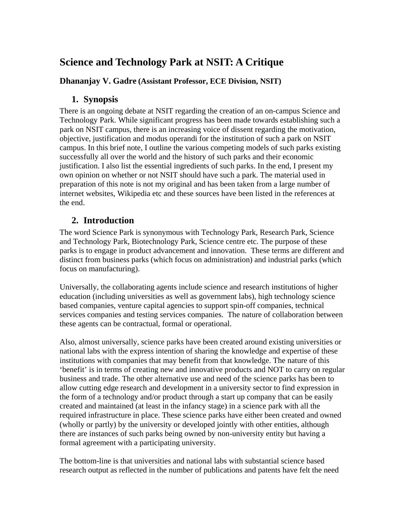# **Science and Technology Park at NSIT: A Critique**

#### **Dhananjay V. Gadre (Assistant Professor, ECE Division, NSIT)**

#### **1. Synopsis**

There is an ongoing debate at NSIT regarding the creation of an on-campus Science and Technology Park. While significant progress has been made towards establishing such a park on NSIT campus, there is an increasing voice of dissent regarding the motivation, objective, justification and modus operandi for the institution of such a park on NSIT campus. In this brief note, I outline the various competing models of such parks existing successfully all over the world and the history of such parks and their economic justification. I also list the essential ingredients of such parks. In the end, I present my own opinion on whether or not NSIT should have such a park. The material used in preparation of this note is not my original and has been taken from a large number of internet websites, Wikipedia etc and these sources have been listed in the references at the end.

#### **2. Introduction**

The word Science Park is synonymous with Technology Park, Research Park, Science and Technology Park, Biotechnology Park, Science centre etc. The purpose of these parks is to engage in product advancement and innovation. These terms are different and distinct from business parks (which focus on administration) and industrial parks (which focus on manufacturing).

Universally, the collaborating agents include science and research institutions of higher education (including universities as well as government labs), high technology science based companies, venture capital agencies to support spin-off companies, technical services companies and testing services companies. The nature of collaboration between these agents can be contractual, formal or operational.

Also, almost universally, science parks have been created around existing universities or national labs with the express intention of sharing the knowledge and expertise of these institutions with companies that may benefit from that knowledge. The nature of this 'benefit' is in terms of creating new and innovative products and NOT to carry on regular business and trade. The other alternative use and need of the science parks has been to allow cutting edge research and development in a university sector to find expression in the form of a technology and/or product through a start up company that can be easily created and maintained (at least in the infancy stage) in a science park with all the required infrastructure in place. These science parks have either been created and owned (wholly or partly) by the university or developed jointly with other entities, although there are instances of such parks being owned by non-university entity but having a formal agreement with a participating university.

The bottom-line is that universities and national labs with substantial science based research output as reflected in the number of publications and patents have felt the need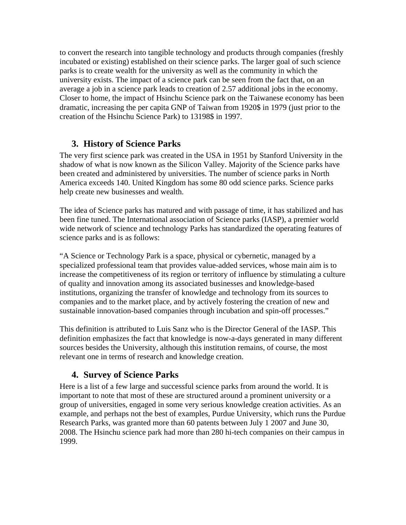to convert the research into tangible technology and products through companies (freshly incubated or existing) established on their science parks. The larger goal of such science parks is to create wealth for the university as well as the community in which the university exists. The impact of a science park can be seen from the fact that, on an average a job in a science park leads to creation of 2.57 additional jobs in the economy. Closer to home, the impact of Hsinchu Science park on the Taiwanese economy has been dramatic, increasing the per capita GNP of Taiwan from 1920\$ in 1979 (just prior to the creation of the Hsinchu Science Park) to 13198\$ in 1997.

#### **3. History of Science Parks**

The very first science park was created in the USA in 1951 by Stanford University in the shadow of what is now known as the Silicon Valley. Majority of the Science parks have been created and administered by universities. The number of science parks in North America exceeds 140. United Kingdom has some 80 odd science parks. Science parks help create new businesses and wealth.

The idea of Science parks has matured and with passage of time, it has stabilized and has been fine tuned. The International association of Science parks (IASP), a premier world wide network of science and technology Parks has standardized the operating features of science parks and is as follows:

"A Science or Technology Park is a space, physical or cybernetic, managed by a specialized professional team that provides value-added services, whose main aim is to increase the competitiveness of its region or territory of influence by stimulating a culture of quality and innovation among its associated businesses and knowledge-based institutions, organizing the transfer of knowledge and technology from its sources to companies and to the market place, and by actively fostering the creation of new and sustainable innovation-based companies through incubation and spin-off processes."

This definition is attributed to Luis Sanz who is the Director General of the IASP. This definition emphasizes the fact that knowledge is now-a-days generated in many different sources besides the University, although this institution remains, of course, the most relevant one in terms of research and knowledge creation.

## **4. Survey of Science Parks**

Here is a list of a few large and successful science parks from around the world. It is important to note that most of these are structured around a prominent university or a group of universities, engaged in some very serious knowledge creation activities. As an example, and perhaps not the best of examples, Purdue University, which runs the Purdue Research Parks, was granted more than 60 patents between July 1 2007 and June 30, 2008. The Hsinchu science park had more than 280 hi-tech companies on their campus in 1999.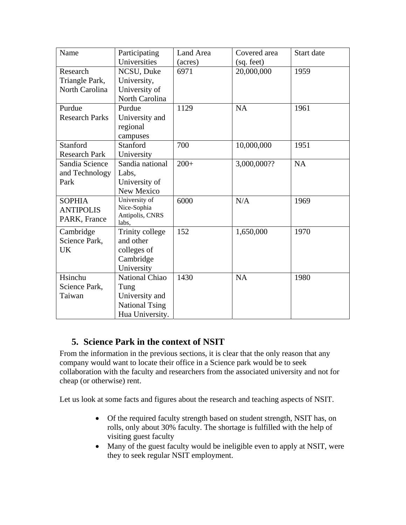| Name                  | Participating                  | Land Area | Covered area | Start date |
|-----------------------|--------------------------------|-----------|--------------|------------|
|                       | Universities                   | (acres)   | (sq. feet)   |            |
| Research              | NCSU, Duke                     | 6971      | 20,000,000   | 1959       |
| Triangle Park,        | University,                    |           |              |            |
| North Carolina        | University of                  |           |              |            |
|                       | North Carolina                 |           |              |            |
| Purdue                | Purdue                         | 1129      | NA           | 1961       |
| <b>Research Parks</b> | University and                 |           |              |            |
|                       | regional                       |           |              |            |
|                       | campuses                       |           |              |            |
| <b>Stanford</b>       | Stanford                       | 700       | 10,000,000   | 1951       |
| <b>Research Park</b>  | University                     |           |              |            |
| Sandia Science        | Sandia national                | $200+$    | 3,000,000??  | <b>NA</b>  |
| and Technology        | Labs.                          |           |              |            |
| Park                  | University of                  |           |              |            |
|                       | New Mexico                     |           |              |            |
| <b>SOPHIA</b>         | University of                  | 6000      | N/A          | 1969       |
| <b>ANTIPOLIS</b>      | Nice-Sophia<br>Antipolis, CNRS |           |              |            |
| PARK, France          | labs,                          |           |              |            |
| Cambridge             | Trinity college                | 152       | 1,650,000    | 1970       |
| Science Park,         | and other                      |           |              |            |
| <b>UK</b>             | colleges of                    |           |              |            |
|                       | Cambridge                      |           |              |            |
|                       | University                     |           |              |            |
| Hsinchu               | <b>National Chiao</b>          | 1430      | <b>NA</b>    | 1980       |
| Science Park,         | Tung                           |           |              |            |
| Taiwan                | University and                 |           |              |            |
|                       | <b>National Tsing</b>          |           |              |            |
|                       | Hua University.                |           |              |            |

## **5. Science Park in the context of NSIT**

From the information in the previous sections, it is clear that the only reason that any company would want to locate their office in a Science park would be to seek collaboration with the faculty and researchers from the associated university and not for cheap (or otherwise) rent.

Let us look at some facts and figures about the research and teaching aspects of NSIT.

- Of the required faculty strength based on student strength, NSIT has, on rolls, only about 30% faculty. The shortage is fulfilled with the help of visiting guest faculty
- Many of the guest faculty would be ineligible even to apply at NSIT, were they to seek regular NSIT employment.